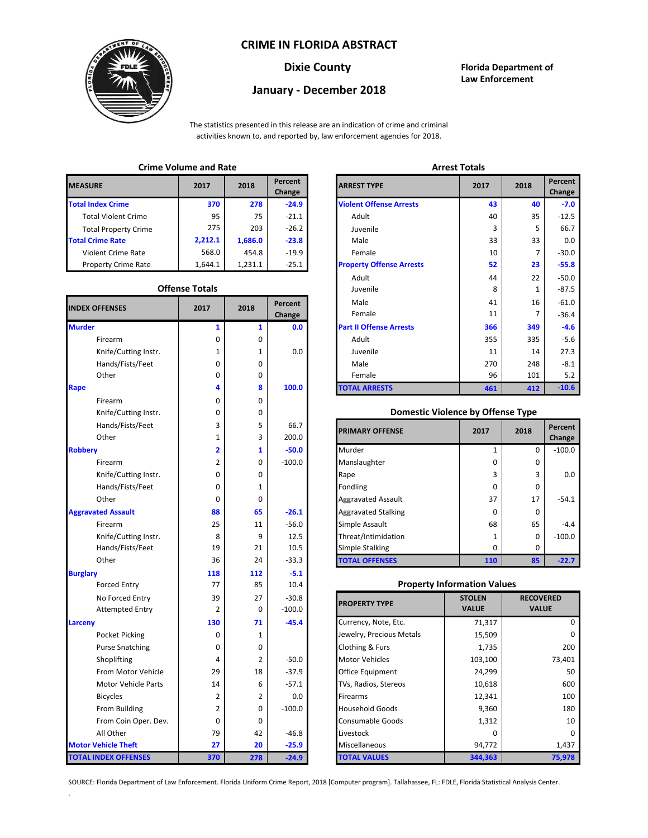### **CRIME IN FLORIDA ABSTRACT**



# **January - December 2018**

**Dixie County Florida Department of Law Enforcement**

The statistics presented in this release are an indication of crime and criminal activities known to, and reported by, law enforcement agencies for 2018.

## **Crime Volume and Rate Arrest Totals**

| <b>MEASURE</b>              | 2017    | 2018    | Percent<br>Change | <b>ARREST TYPE</b>             |
|-----------------------------|---------|---------|-------------------|--------------------------------|
| <b>Total Index Crime</b>    | 370     | 278     | $-24.9$           | <b>Violent Offense Arrests</b> |
| <b>Total Violent Crime</b>  | 95      | 75      | $-21.1$           | Adult                          |
| <b>Total Property Crime</b> | 275     | 203     | $-26.2$           | Juvenile                       |
| <b>Total Crime Rate</b>     | 2,212.1 | 1,686.0 | $-23.8$           | Male                           |
| <b>Violent Crime Rate</b>   | 568.0   | 454.8   | $-19.9$           | Female                         |
| <b>Property Crime Rate</b>  | 1.644.1 | 1.231.1 | $-25.1$           | <b>Property Offense Arrest</b> |

#### **Offense Totals**

| <b>INDEX OFFENSES</b>       | 2017           | 2018         | Percent<br>Change | Male<br>Female                           | 41<br>11      | 16<br>$\overline{7}$ | $-61.0$<br>$-36.4$ |  |
|-----------------------------|----------------|--------------|-------------------|------------------------------------------|---------------|----------------------|--------------------|--|
| <b>Murder</b>               | $\mathbf{1}$   | $\mathbf{1}$ | 0.0               | <b>Part II Offense Arrests</b>           | 366           | 349                  | $-4.6$             |  |
| Firearm                     | 0              | 0            |                   | Adult                                    | 355           | 335                  | $-5.6$             |  |
| Knife/Cutting Instr.        | 1              | 1            | 0.0               | Juvenile                                 | 11            | 14                   | 27.3               |  |
| Hands/Fists/Feet            | 0              | 0            |                   | Male                                     | 270           | 248                  | $-8.1$             |  |
| Other                       | 0              | 0            |                   | Female                                   | 96            | 101                  | 5.2                |  |
| Rape                        | 4              | 8            | 100.0             | <b>TOTAL ARRESTS</b>                     | 461           | 412                  | $-10.6$            |  |
| Firearm                     | 0              | 0            |                   |                                          |               |                      |                    |  |
| Knife/Cutting Instr.        | 0              | 0            |                   | <b>Domestic Violence by Offense Type</b> |               |                      |                    |  |
| Hands/Fists/Feet            | 3              | 5            | 66.7              |                                          |               |                      | Percent            |  |
| Other                       | 1              | 3            | 200.0             | <b>PRIMARY OFFENSE</b>                   | 2017          | 2018                 | Change             |  |
| <b>Robbery</b>              | 2              | 1            | $-50.0$           | Murder                                   | 1             | 0                    | $-100.0$           |  |
| Firearm                     | 2              | 0            | $-100.0$          | Manslaughter                             | 0             | 0                    |                    |  |
| Knife/Cutting Instr.        | 0              | 0            |                   | Rape                                     | 3             | 3                    | 0.0                |  |
| Hands/Fists/Feet            | 0              | 1            |                   | Fondling                                 | 0             | 0                    |                    |  |
| Other                       | 0              | 0            |                   | <b>Aggravated Assault</b>                | 37            | 17                   | $-54.1$            |  |
| <b>Aggravated Assault</b>   | 88             | 65           | $-26.1$           | <b>Aggravated Stalking</b>               | 0             | $\Omega$             |                    |  |
| Firearm                     | 25             | 11           | $-56.0$           | Simple Assault                           | 68            | 65                   | $-4.4$             |  |
| Knife/Cutting Instr.        | 8              | 9            | 12.5              | Threat/Intimidation                      | $\mathbf{1}$  | $\Omega$             | $-100.0$           |  |
| Hands/Fists/Feet            | 19             | 21           | 10.5              | <b>Simple Stalking</b>                   | 0             | $\Omega$             |                    |  |
| Other                       | 36             | 24           | $-33.3$           | <b>TOTAL OFFENSES</b>                    | 110           | 85                   | $-22.7$            |  |
| <b>Burglary</b>             | 118            | 112          | $-5.1$            |                                          |               |                      |                    |  |
| <b>Forced Entry</b>         | 77             | 85           | 10.4              | <b>Property Information Values</b>       |               |                      |                    |  |
| No Forced Entry             | 39             | 27           | $-30.8$           |                                          | <b>STOLEN</b> | <b>RECOVERED</b>     |                    |  |
| <b>Attempted Entry</b>      | 2              | 0            | $-100.0$          | <b>PROPERTY TYPE</b>                     | <b>VALUE</b>  | <b>VALUE</b>         |                    |  |
| Larceny                     | 130            | 71           | $-45.4$           | Currency, Note, Etc.                     | 71,317        |                      | 0                  |  |
| Pocket Picking              | 0              | 1            |                   | Jewelry, Precious Metals                 | 15,509        |                      |                    |  |
| <b>Purse Snatching</b>      | 0              | 0            |                   | Clothing & Furs                          | 1,735         |                      | 200                |  |
| Shoplifting                 | 4              | 2            | $-50.0$           | <b>Motor Vehicles</b>                    | 103,100       | 73,401               |                    |  |
| From Motor Vehicle          | 29             | 18           | $-37.9$           | Office Equipment                         | 24,299        |                      | 50                 |  |
| <b>Motor Vehicle Parts</b>  | 14             | 6            | $-57.1$           | TVs, Radios, Stereos                     | 10,618        |                      | 600                |  |
| <b>Bicycles</b>             | 2              | 2            | 0.0               | Firearms                                 | 12,341        |                      | 100                |  |
| From Building               | $\overline{2}$ | 0            | $-100.0$          | <b>Household Goods</b>                   | 9,360         |                      | 180                |  |
| From Coin Oper. Dev.        | 0              | 0            |                   | Consumable Goods                         | 1,312         |                      | 10                 |  |
| All Other                   | 79             | 42           | $-46.8$           | Livestock                                | 0             |                      |                    |  |
| <b>Motor Vehicle Theft</b>  | 27             | 20           | $-25.9$           | Miscellaneous                            | 94,772        |                      | 1,437              |  |
| <b>TOTAL INDEX OFFENSES</b> | 370            | 278          | $-24.9$           | <b>TOTAL VALUES</b>                      | 344,363       |                      | 75,978             |  |

.

| Crime volume and Kate |                       |         |                   | Arrest Totals                   |      |      |                   |
|-----------------------|-----------------------|---------|-------------------|---------------------------------|------|------|-------------------|
| łЕ.                   | 2017                  | 2018    | Percent<br>Change | <b>ARREST TYPE</b>              | 2017 | 2018 | Percent<br>Change |
| dex Crime             | 370                   | 278     | $-24.9$           | <b>Violent Offense Arrests</b>  | 43   | 40   |                   |
| Il Violent Crime      | 95                    | 75      | $-21.1$           | Adult                           | 40   | 35   | $-12.5$           |
| Il Property Crime     | 275                   | 203     | $-26.2$           | Juvenile                        | З    | 5    | 66.7              |
| me Rate               | 2,212.1               | 1,686.0 | $-23.8$           | Male                            | 33   | 33   |                   |
| ent Crime Rate        | 568.0                 | 454.8   | $-19.9$           | Female                          | 10   | 7    | $-30.0$           |
| erty Crime Rate       | 1,644.1               | 1,231.1 | $-25.1$           | <b>Property Offense Arrests</b> | 52   | 23   | $-55.8$           |
|                       |                       |         |                   | Adult                           | 44   | 22   | $-50.0$           |
|                       | <b>Offense Totals</b> |         |                   | Juvenile                        | 8    | 1    | $-87.5$           |
| <b>FFENSES</b>        | 2017                  | 2018    | Percent           | Male                            | 41   | 16   | $-61.0$           |
|                       |                       |         | Change            | Female                          | 11   | 7    | $-36.4$           |
|                       | 1                     | 1       | 0.0               | <b>Part II Offense Arrests</b>  | 366  | 349  |                   |
| Firearm               | 0                     | 0       |                   | Adult                           | 355  | 335  |                   |
| Knife/Cutting Instr.  | 1                     | 1       | 0.0               | Juvenile                        | 11   | 14   | 27.3              |
| Hands/Fists/Feet      | 0                     | 0       |                   | Male                            | 270  | 248  |                   |
| Other                 | 0                     | 0       |                   | Female                          | 96   | 101  |                   |
|                       | 4                     | 8       | 100.0             | <b>TOTAL ARRESTS</b>            | 461  | 412  | $-10.6$           |

#### 0 **Domestic Violence by Offense Type**

| Hands/Fists/Feet<br>Other | 3  | 5<br>3 | 66.7<br>200.0 | <b>PRIMARY OFFENSE</b>     | 2017         | 2018 | Percent<br>Change |
|---------------------------|----|--------|---------------|----------------------------|--------------|------|-------------------|
|                           |    |        | $-50.0$       | Murder                     |              | 0    | $-100.0$          |
| Firearm                   |    | 0      | $-100.0$      | Manslaughter               | <sup>0</sup> | 0    |                   |
| Knife/Cutting Instr.      | 0  | 0      |               | Rape                       | 3            | 3    |                   |
| Hands/Fists/Feet          | 0  |        |               | Fondling                   | 0            | 0    |                   |
| Other                     | 0  | 0      |               | <b>Aggravated Assault</b>  | 37           | 17   | $-54.1$           |
| ted Assault               | 88 | 65     | $-26.1$       | <b>Aggravated Stalking</b> | <sup>0</sup> | 0    |                   |
| Firearm                   | 25 | 11     | $-56.0$       | Simple Assault             | 68           | 65   |                   |
| Knife/Cutting Instr.      | 8  | 9      | 12.5          | Threat/Intimidation        |              | 0    | $-100.0$          |
| Hands/Fists/Feet          | 19 | 21     | 10.5          | <b>Simple Stalking</b>     | <sup>0</sup> | 0    |                   |
| Other                     | 36 | 24     | $-33.3$       | <b>TOTAL OFFENSES</b>      | 110          | 85   | $-22.7$           |

#### **Property Information Values**

| 39       | 27             | $-30.8$  | <b>PROPERTY TYPE</b>     | <b>STOLEN</b> | <b>RECOVERED</b> |
|----------|----------------|----------|--------------------------|---------------|------------------|
| 2        | 0              | $-100.0$ |                          | <b>VALUE</b>  | <b>VALUE</b>     |
| 130      | 71             | $-45.4$  | Currency, Note, Etc.     | 71,317        | O                |
| 0        | 1              |          | Jewelry, Precious Metals | 15,509        | n                |
| 0        | 0              |          | Clothing & Furs          | 1,735         | 200              |
| 4        | $\overline{2}$ | $-50.0$  | <b>Motor Vehicles</b>    | 103,100       | 73,401           |
| 29       | 18             | $-37.9$  | Office Equipment         | 24,299        | 50               |
| 14       | 6              | $-57.1$  | TVs, Radios, Stereos     | 10,618        | 600              |
| 2        | $\overline{2}$ | 0.0      | <b>Firearms</b>          | 12,341        | 100              |
| 2        | 0              | $-100.0$ | <b>Household Goods</b>   | 9,360         | 180              |
| $\Omega$ | 0              |          | <b>Consumable Goods</b>  | 1,312         | 10               |
| 79       | 42             | $-46.8$  | Livestock                | ŋ             | o                |
| 27       | 20             | $-25.9$  | Miscellaneous            | 94,772        | 1,437            |
| 370      | 278            | $-24.9$  | <b>TOTAL VALUES</b>      | 344,363       | 75,978           |

SOURCE: Florida Department of Law Enforcement. Florida Uniform Crime Report, 2018 [Computer program]. Tallahassee, FL: FDLE, Florida Statistical Analysis Center.